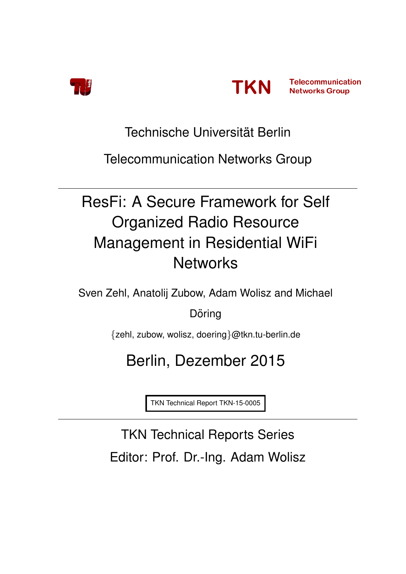



Technische Universität Berlin

Telecommunication Networks Group

# ResFi: A Secure Framework for Self Organized Radio Resource Management in Residential WiFi **Networks**

Sven Zehl, Anatolij Zubow, Adam Wolisz and Michael

Döring

{zehl, zubow, wolisz, doering}@tkn.tu-berlin.de

# Berlin, Dezember 2015

TKN Technical Report TKN-15-0005

TKN Technical Reports Series Editor: Prof. Dr.-Ing. Adam Wolisz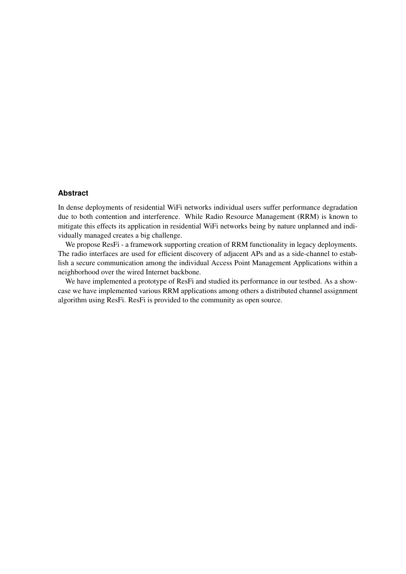#### **Abstract**

In dense deployments of residential WiFi networks individual users suffer performance degradation due to both contention and interference. While Radio Resource Management (RRM) is known to mitigate this effects its application in residential WiFi networks being by nature unplanned and individually managed creates a big challenge.

We propose ResFi - a framework supporting creation of RRM functionality in legacy deployments. The radio interfaces are used for efficient discovery of adjacent APs and as a side-channel to establish a secure communication among the individual Access Point Management Applications within a neighborhood over the wired Internet backbone.

We have implemented a prototype of ResFi and studied its performance in our testbed. As a showcase we have implemented various RRM applications among others a distributed channel assignment algorithm using ResFi. ResFi is provided to the community as open source.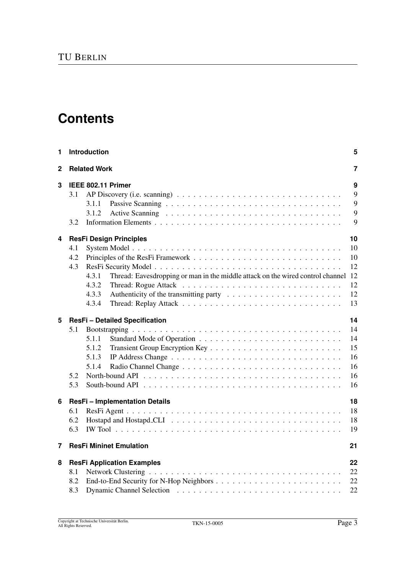# **Contents**

| 1 | Introduction                                                                                                                                                              |                                              |  |  |  |  |  |
|---|---------------------------------------------------------------------------------------------------------------------------------------------------------------------------|----------------------------------------------|--|--|--|--|--|
| 2 | <b>Related Work</b>                                                                                                                                                       |                                              |  |  |  |  |  |
| 3 | IEEE 802.11 Primer<br>3.1<br>3.1.1<br>3.1.2<br>3.2                                                                                                                        | 9<br>9<br>9<br>9<br>9                        |  |  |  |  |  |
| 4 | <b>ResFi Design Principles</b><br>4.1<br>4.2<br>4.3<br>Thread: Eavesdropping or man in the middle attack on the wired control channel<br>4.3.1<br>4.3.2<br>4.3.3<br>4.3.4 | 10<br>10<br>10<br>12<br>12<br>12<br>12<br>13 |  |  |  |  |  |
| 5 | ResFi - Detailed Specification<br>5.1<br>5.1.1<br>5.1.2<br>5.1.3<br>5.1.4<br>5.2<br>5.3                                                                                   | 14<br>14<br>14<br>15<br>16<br>16<br>16<br>16 |  |  |  |  |  |
| 6 | <b>ResFi-Implementation Details</b><br>6.1<br>6.2<br>6.3                                                                                                                  | 18<br>18<br>18<br>19                         |  |  |  |  |  |
| 7 | <b>ResFi Mininet Emulation</b>                                                                                                                                            | 21                                           |  |  |  |  |  |
| 8 | <b>ResFi Application Examples</b><br>8.1<br>8.2<br>8.3                                                                                                                    | 22<br>22<br>22<br>22                         |  |  |  |  |  |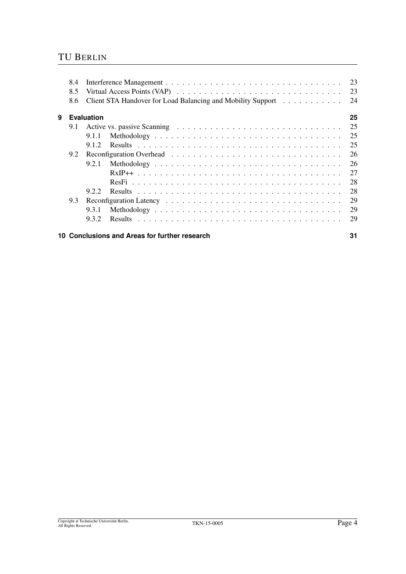### TU BERLIN

|   | 8.6 |                   | Virtual Access Points (VAP) $\ldots \ldots \ldots \ldots \ldots \ldots \ldots \ldots \ldots \ldots \ldots$<br>Client STA Handover for Load Balancing and Mobility Support | 24 |
|---|-----|-------------------|---------------------------------------------------------------------------------------------------------------------------------------------------------------------------|----|
| 9 |     | <b>Evaluation</b> |                                                                                                                                                                           | 25 |
|   | 9.1 |                   |                                                                                                                                                                           | 25 |
|   |     | 9.1.1             |                                                                                                                                                                           | 25 |
|   |     | 912               |                                                                                                                                                                           | 25 |
|   | 9.2 |                   |                                                                                                                                                                           | 26 |
|   |     | 9.2.1             |                                                                                                                                                                           | 26 |
|   |     |                   |                                                                                                                                                                           | 27 |
|   |     |                   |                                                                                                                                                                           | 28 |
|   |     | 9.2.2             |                                                                                                                                                                           | 28 |
|   | 9.3 |                   |                                                                                                                                                                           | 29 |
|   |     | 9.3.1             |                                                                                                                                                                           | 29 |
|   |     | 9.3.2             |                                                                                                                                                                           | 29 |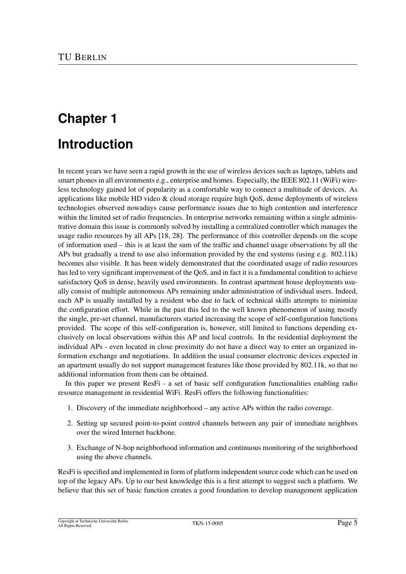# **Chapter 1 Introduction**

In recent years we have seen a rapid growth in the use of wireless devices such as laptops, tablets and smart phones in all environments e.g., enterprise and homes. Especially, the IEEE 802.11 (WiFi) wireless technology gained lot of popularity as a comfortable way to connect a multitude of devices. As applications like mobile HD video  $&$  cloud storage require high QoS, dense deployments of wireless technologies observed nowadays cause performance issues due to high contention and interference within the limited set of radio frequencies. In enterprise networks remaining within a single administrative domain this issue is commonly solved by installing a centralized controller which manages the usage radio resources by all APs [18, 28]. The performance of this controller depends on the scope of information used – this is at least the sum of the traffic and channel usage observations by all the APs but gradually a trend to use also information provided by the end systems (using e.g. 802.11k) becomes also visible. It has been widely demonstrated that the coordinated usage of radio resources has led to very significant improvement of the QoS, and in fact it is a fundamental condition to achieve satisfactory QoS in dense, heavily used environments. In contrast apartment house deployments usually consist of multiple autonomous APs remaining under administration of individual users. Indeed, each AP is usually installed by a resident who due to lack of technical skills attempts to minimize the configuration effort. While in the past this led to the well known phenomenon of using mostly the single, pre-set channel, manufacturers started increasing the scope of self-configuration functions provided. The scope of this self-configuration is, however, still limited to functions depending exclusively on local observations within this AP and local controls. In the residential deployment the individual APs - even located in close proximity do not have a direct way to enter an organized information exchange and negotiations. In addition the usual consumer electronic devices expected in an apartment usually do not support management features like those provided by 802.11k, so that no additional information from them can be obtained.

In this paper we present ResFi - a set of basic self configuration functionalities enabling radio resource management in residential WiFi. ResFi offers the following functionalities:

- 1. Discovery of the immediate neighborhood any active APs within the radio coverage.
- 2. Setting up secured point-to-point control channels between any pair of immediate neighbors over the wired Internet backbone.
- 3. Exchange of N-hop neighborhood information and continuous monitoring of the neighborhood using the above channels.

ResFi is specified and implemented in form of platform independent source code which can be used on top of the legacy APs. Up to our best knowledge this is a first attempt to suggest such a platform. We believe that this set of basic function creates a good foundation to develop management application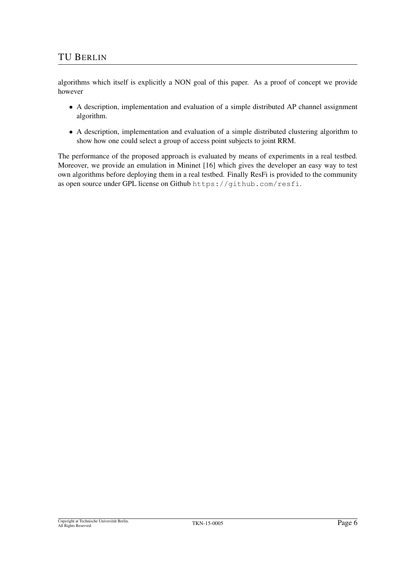algorithms which itself is explicitly a NON goal of this paper. As a proof of concept we provide however

- A description, implementation and evaluation of a simple distributed AP channel assignment algorithm.
- A description, implementation and evaluation of a simple distributed clustering algorithm to show how one could select a group of access point subjects to joint RRM.

The performance of the proposed approach is evaluated by means of experiments in a real testbed. Moreover, we provide an emulation in Mininet [16] which gives the developer an easy way to test own algorithms before deploying them in a real testbed. Finally ResFi is provided to the community as open source under GPL license on Github https://github.com/resfi.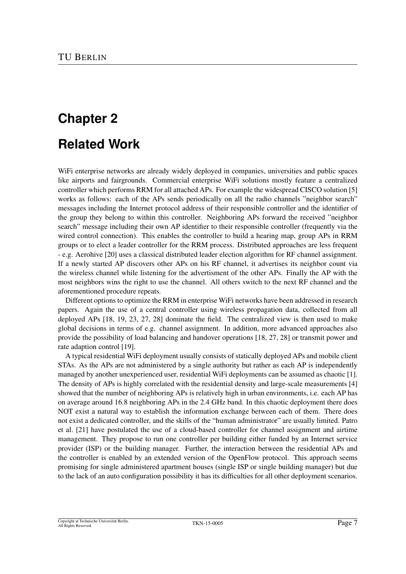# **Related Work**

WiFi enterprise networks are already widely deployed in companies, universities and public spaces like airports and fairgrounds. Commercial enterprise WiFi solutions mostly feature a centralized controller which performs RRM for all attached APs. For example the widespread CISCO solution [5] works as follows: each of the APs sends periodically on all the radio channels "neighbor search" messages including the Internet protocol address of their responsible controller and the identifier of the group they belong to within this controller. Neighboring APs forward the received "neighbor search" message including their own AP identifier to their responsible controller (frequently via the wired control connection). This enables the controller to build a hearing map, group APs in RRM groups or to elect a leader controller for the RRM process. Distributed approaches are less frequent - e.g. Aerohive [20] uses a classical distributed leader election algorithm for RF channel assignment. If a newly started AP discovers other APs on his RF channel, it advertises its neighbor count via the wireless channel while listening for the advertisment of the other APs. Finally the AP with the most neighbors wins the right to use the channel. All others switch to the next RF channel and the aforementioned procedure repeats.

Different options to optimize the RRM in enterprise WiFi networks have been addressed in research papers. Again the use of a central controller using wireless propagation data, collected from all deployed APs [18, 19, 23, 27, 28] dominate the field. The centralized view is then used to make global decisions in terms of e.g. channel assignment. In addition, more advanced approaches also provide the possibility of load balancing and handover operations [18, 27, 28] or transmit power and rate adaption control [19].

A typical residential WiFi deployment usually consists of statically deployed APs and mobile client STAs. As the APs are not administered by a single authority but rather as each AP is independently managed by another unexperienced user, residential WiFi deployments can be assumed as chaotic [1]. The density of APs is highly correlated with the residential density and large-scale measurements [4] showed that the number of neighboring APs is relatively high in urban environments, i.e. each AP has on average around 16.8 neighboring APs in the 2.4 GHz band. In this chaotic deployment there does NOT exist a natural way to establish the information exchange between each of them. There does not exist a dedicated controller, and the skills of the "human administrator" are usually limited. Patro et al. [21] have postulated the use of a cloud-based controller for channel assignment and airtime management. They propose to run one controller per building either funded by an Internet service provider (ISP) or the building manager. Further, the interaction between the residential APs and the controller is enabled by an extended version of the OpenFlow protocol. This approach seems promising for single administered apartment houses (single ISP or single building manager) but due to the lack of an auto configuration possibility it has its difficulties for all other deployment scenarios.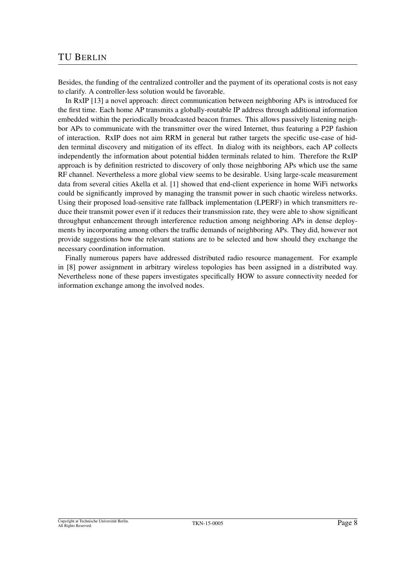#### TU BERLIN

Besides, the funding of the centralized controller and the payment of its operational costs is not easy to clarify. A controller-less solution would be favorable.

In RxIP [13] a novel approach: direct communication between neighboring APs is introduced for the first time. Each home AP transmits a globally-routable IP address through additional information embedded within the periodically broadcasted beacon frames. This allows passively listening neighbor APs to communicate with the transmitter over the wired Internet, thus featuring a P2P fashion of interaction. RxIP does not aim RRM in general but rather targets the specific use-case of hidden terminal discovery and mitigation of its effect. In dialog with its neighbors, each AP collects independently the information about potential hidden terminals related to him. Therefore the RxIP approach is by definition restricted to discovery of only those neighboring APs which use the same RF channel. Nevertheless a more global view seems to be desirable. Using large-scale measurement data from several cities Akella et al. [1] showed that end-client experience in home WiFi networks could be significantly improved by managing the transmit power in such chaotic wireless networks. Using their proposed load-sensitive rate fallback implementation (LPERF) in which transmitters reduce their transmit power even if it reduces their transmission rate, they were able to show significant throughput enhancement through interference reduction among neighboring APs in dense deployments by incorporating among others the traffic demands of neighboring APs. They did, however not provide suggestions how the relevant stations are to be selected and how should they exchange the necessary coordination information.

Finally numerous papers have addressed distributed radio resource management. For example in [8] power assignment in arbitrary wireless topologies has been assigned in a distributed way. Nevertheless none of these papers investigates specifically HOW to assure connectivity needed for information exchange among the involved nodes.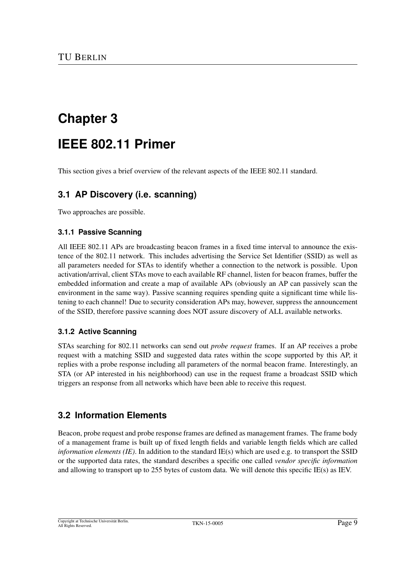# **IEEE 802.11 Primer**

This section gives a brief overview of the relevant aspects of the IEEE 802.11 standard.

### **3.1 AP Discovery (i.e. scanning)**

Two approaches are possible.

#### **3.1.1 Passive Scanning**

All IEEE 802.11 APs are broadcasting beacon frames in a fixed time interval to announce the existence of the 802.11 network. This includes advertising the Service Set Identifier (SSID) as well as all parameters needed for STAs to identify whether a connection to the network is possible. Upon activation/arrival, client STAs move to each available RF channel, listen for beacon frames, buffer the embedded information and create a map of available APs (obviously an AP can passively scan the environment in the same way). Passive scanning requires spending quite a significant time while listening to each channel! Due to security consideration APs may, however, suppress the announcement of the SSID, therefore passive scanning does NOT assure discovery of ALL available networks.

#### **3.1.2 Active Scanning**

STAs searching for 802.11 networks can send out *probe request* frames. If an AP receives a probe request with a matching SSID and suggested data rates within the scope supported by this AP, it replies with a probe response including all parameters of the normal beacon frame. Interestingly, an STA (or AP interested in his neighborhood) can use in the request frame a broadcast SSID which triggers an response from all networks which have been able to receive this request.

### **3.2 Information Elements**

Beacon, probe request and probe response frames are defined as management frames. The frame body of a management frame is built up of fixed length fields and variable length fields which are called *information elements (IE)*. In addition to the standard IE(s) which are used e.g. to transport the SSID or the supported data rates, the standard describes a specific one called *vendor specific information* and allowing to transport up to 255 bytes of custom data. We will denote this specific IE(s) as IEV.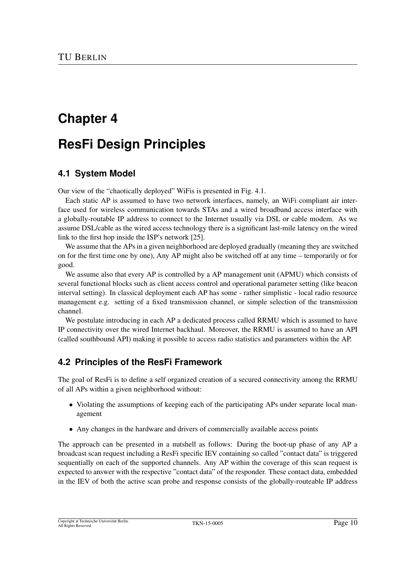# **ResFi Design Principles**

### **4.1 System Model**

Our view of the "chaotically deployed" WiFis is presented in Fig. 4.1.

Each static AP is assumed to have two network interfaces, namely, an WiFi compliant air interface used for wireless communication towards STAs and a wired broadband access interface with a globally-routable IP address to connect to the Internet usually via DSL or cable modem. As we assume DSL/cable as the wired access technology there is a significant last-mile latency on the wired link to the first hop inside the ISP's network [25].

We assume that the APs in a given neighborhood are deployed gradually (meaning they are switched on for the first time one by one), Any AP might also be switched off at any time – temporarily or for good.

We assume also that every AP is controlled by a AP management unit (APMU) which consists of several functional blocks such as client access control and operational parameter setting (like beacon interval setting). In classical deployment each AP has some - rather simplistic - local radio resource management e.g. setting of a fixed transmission channel, or simple selection of the transmission channel.

We postulate introducing in each AP a dedicated process called RRMU which is assumed to have IP connectivity over the wired Internet backhaul. Moreover, the RRMU is assumed to have an API (called southbound API) making it possible to access radio statistics and parameters within the AP.

### **4.2 Principles of the ResFi Framework**

The goal of ResFi is to define a self organized creation of a secured connectivity among the RRMU of all APs within a given neighborhood without:

- Violating the assumptions of keeping each of the participating APs under separate local management
- Any changes in the hardware and drivers of commercially available access points

The approach can be presented in a nutshell as follows: During the boot-up phase of any AP a broadcast scan request including a ResFi specific IEV containing so called "contact data" is triggered sequentially on each of the supported channels. Any AP within the coverage of this scan request is expected to answer with the respective "contact data" of the responder. These contact data, embedded in the IEV of both the active scan probe and response consists of the globally-routeable IP address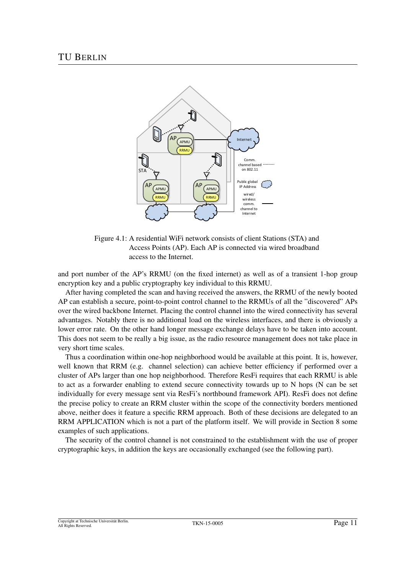

Figure 4.1: A residential WiFi network consists of client Stations (STA) and Access Points (AP). Each AP is connected via wired broadband access to the Internet.

and port number of the AP's RRMU (on the fixed internet) as well as of a transient 1-hop group encryption key and a public cryptography key individual to this RRMU.

After having completed the scan and having received the answers, the RRMU of the newly booted AP can establish a secure, point-to-point control channel to the RRMUs of all the "discovered" APs over the wired backbone Internet. Placing the control channel into the wired connectivity has several advantages. Notably there is no additional load on the wireless interfaces, and there is obviously a lower error rate. On the other hand longer message exchange delays have to be taken into account. This does not seem to be really a big issue, as the radio resource management does not take place in very short time scales.

Thus a coordination within one-hop neighborhood would be available at this point. It is, however, well known that RRM (e.g. channel selection) can achieve better efficiency if performed over a cluster of APs larger than one hop neighborhood. Therefore ResFi requires that each RRMU is able to act as a forwarder enabling to extend secure connectivity towards up to N hops (N can be set individually for every message sent via ResFi's northbound framework API). ResFi does not define the precise policy to create an RRM cluster within the scope of the connectivity borders mentioned above, neither does it feature a specific RRM approach. Both of these decisions are delegated to an RRM APPLICATION which is not a part of the platform itself. We will provide in Section 8 some examples of such applications.

The security of the control channel is not constrained to the establishment with the use of proper cryptographic keys, in addition the keys are occasionally exchanged (see the following part).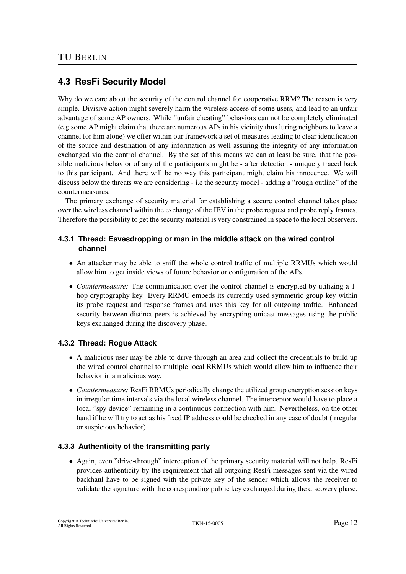### **4.3 ResFi Security Model**

Why do we care about the security of the control channel for cooperative RRM? The reason is very simple. Divisive action might severely harm the wireless access of some users, and lead to an unfair advantage of some AP owners. While "unfair cheating" behaviors can not be completely eliminated (e.g some AP might claim that there are numerous APs in his vicinity thus luring neighbors to leave a channel for him alone) we offer within our framework a set of measures leading to clear identification of the source and destination of any information as well assuring the integrity of any information exchanged via the control channel. By the set of this means we can at least be sure, that the possible malicious behavior of any of the participants might be - after detection - uniquely traced back to this participant. And there will be no way this participant might claim his innocence. We will discuss below the threats we are considering - i.e the security model - adding a "rough outline" of the countermeasures.

The primary exchange of security material for establishing a secure control channel takes place over the wireless channel within the exchange of the IEV in the probe request and probe reply frames. Therefore the possibility to get the security material is very constrained in space to the local observers.

#### **4.3.1 Thread: Eavesdropping or man in the middle attack on the wired control channel**

- An attacker may be able to sniff the whole control traffic of multiple RRMUs which would allow him to get inside views of future behavior or configuration of the APs.
- *Countermeasure:* The communication over the control channel is encrypted by utilizing a 1 hop cryptography key. Every RRMU embeds its currently used symmetric group key within its probe request and response frames and uses this key for all outgoing traffic. Enhanced security between distinct peers is achieved by encrypting unicast messages using the public keys exchanged during the discovery phase.

#### **4.3.2 Thread: Rogue Attack**

- A malicious user may be able to drive through an area and collect the credentials to build up the wired control channel to multiple local RRMUs which would allow him to influence their behavior in a malicious way.
- *Countermeasure:* ResFi RRMUs periodically change the utilized group encryption session keys in irregular time intervals via the local wireless channel. The interceptor would have to place a local "spy device" remaining in a continuous connection with him. Nevertheless, on the other hand if he will try to act as his fixed IP address could be checked in any case of doubt (irregular or suspicious behavior).

#### **4.3.3 Authenticity of the transmitting party**

• Again, even "drive-through" interception of the primary security material will not help. ResFi provides authenticity by the requirement that all outgoing ResFi messages sent via the wired backhaul have to be signed with the private key of the sender which allows the receiver to validate the signature with the corresponding public key exchanged during the discovery phase.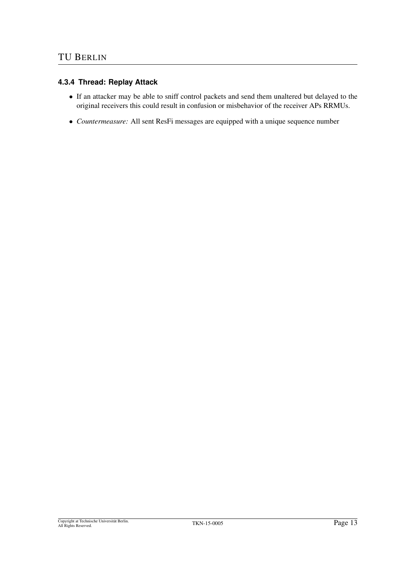### **4.3.4 Thread: Replay Attack**

- If an attacker may be able to sniff control packets and send them unaltered but delayed to the original receivers this could result in confusion or misbehavior of the receiver APs RRMUs.
- *Countermeasure:* All sent ResFi messages are equipped with a unique sequence number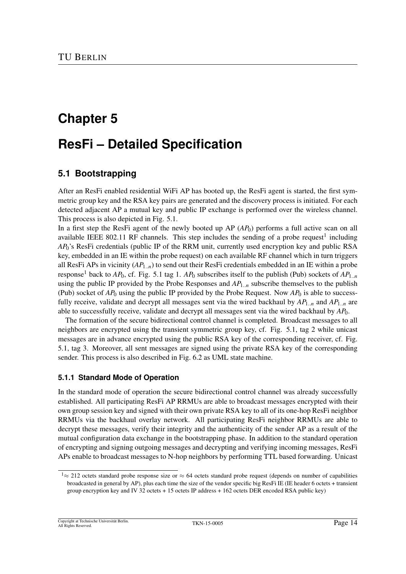# **ResFi – Detailed Specification**

### **5.1 Bootstrapping**

After an ResFi enabled residential WiFi AP has booted up, the ResFi agent is started, the first symmetric group key and the RSA key pairs are generated and the discovery process is initiated. For each detected adjacent AP a mutual key and public IP exchange is performed over the wireless channel. This process is also depicted in Fig. 5.1.

In a first step the ResFi agent of the newly booted up AP (*AP*0) performs a full active scan on all available IEEE 802.11 RF channels. This step includes the sending of a probe request<sup>1</sup> including *AP*0's ResFi credentials (public IP of the RRM unit, currently used encryption key and public RSA key, embedded in an IE within the probe request) on each available RF channel which in turn triggers all ResFi APs in vicinity  $(AP_{1n})$  to send out their ResFi credentials embedded in an IE within a probe response<sup>1</sup> back to  $AP_0$ , cf. Fig. 5.1 tag 1.  $AP_0$  subscribes itself to the publish (Pub) sockets of  $AP_{1..n}$ using the public IP provided by the Probe Responses and *AP*1..*<sup>n</sup>* subscribe themselves to the publish (Pub) socket of  $AP_0$  using the public IP provided by the Probe Request. Now  $AP_0$  is able to successfully receive, validate and decrypt all messages sent via the wired backhaul by *AP*1..*<sup>n</sup>* and *AP*1..*<sup>n</sup>* are able to successfully receive, validate and decrypt all messages sent via the wired backhaul by *AP*0.

The formation of the secure bidirectional control channel is completed. Broadcast messages to all neighbors are encrypted using the transient symmetric group key, cf. Fig. 5.1, tag 2 while unicast messages are in advance encrypted using the public RSA key of the corresponding receiver, cf. Fig. 5.1, tag 3. Moreover, all sent messages are signed using the private RSA key of the corresponding sender. This process is also described in Fig. 6.2 as UML state machine.

#### **5.1.1 Standard Mode of Operation**

In the standard mode of operation the secure bidirectional control channel was already successfully established. All participating ResFi AP RRMUs are able to broadcast messages encrypted with their own group session key and signed with their own private RSA key to all of its one-hop ResFi neighbor RRMUs via the backhaul overlay network. All participating ResFi neighbor RRMUs are able to decrypt these messages, verify their integrity and the authenticity of the sender AP as a result of the mutual configuration data exchange in the bootstrapping phase. In addition to the standard operation of encrypting and signing outgoing messages and decrypting and verifying incoming messages, ResFi APs enable to broadcast messages to N-hop neighbors by performing TTL based forwarding. Unicast

 $1 \approx 212$  octets standard probe response size or  $\approx 64$  octets standard probe request (depends on number of capabilities broadcasted in general by AP), plus each time the size of the vendor specific big ResFi IE (IE header 6 octets + transient group encryption key and IV 32 octets + 15 octets IP address + 162 octets DER encoded RSA public key)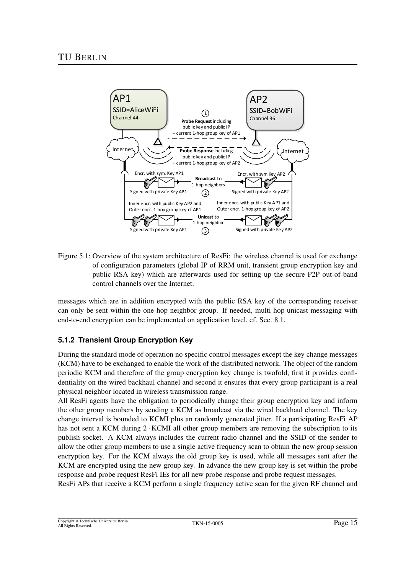

Figure 5.1: Overview of the system architecture of ResFi: the wireless channel is used for exchange of configuration parameters (global IP of RRM unit, transient group encryption key and public RSA key) which are afterwards used for setting up the secure P2P out-of-band control channels over the Internet.

messages which are in addition encrypted with the public RSA key of the corresponding receiver can only be sent within the one-hop neighbor group. If needed, multi hop unicast messaging with end-to-end encryption can be implemented on application level, cf. Sec. 8.1.

### **5.1.2 Transient Group Encryption Key**

During the standard mode of operation no specific control messages except the key change messages (KCM) have to be exchanged to enable the work of the distributed network. The object of the random periodic KCM and therefore of the group encryption key change is twofold, first it provides confidentiality on the wired backhaul channel and second it ensures that every group participant is a real physical neighbor located in wireless transmission range.

All ResFi agents have the obligation to periodically change their group encryption key and inform the other group members by sending a KCM as broadcast via the wired backhaul channel. The key change interval is bounded to KCMI plus an randomly generated jitter. If a participating ResFi AP has not sent a KCM during 2 · KCMI all other group members are removing the subscription to its publish socket. A KCM always includes the current radio channel and the SSID of the sender to allow the other group members to use a single active frequency scan to obtain the new group session encryption key. For the KCM always the old group key is used, while all messages sent after the KCM are encrypted using the new group key. In advance the new group key is set within the probe response and probe request ResFi IEs for all new probe response and probe request messages.

ResFi APs that receive a KCM perform a single frequency active scan for the given RF channel and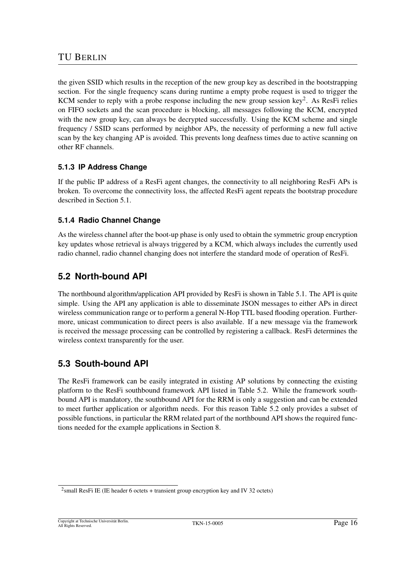the given SSID which results in the reception of the new group key as described in the bootstrapping section. For the single frequency scans during runtime a empty probe request is used to trigger the KCM sender to reply with a probe response including the new group session key<sup>2</sup>. As ResFi relies on FIFO sockets and the scan procedure is blocking, all messages following the KCM, encrypted with the new group key, can always be decrypted successfully. Using the KCM scheme and single frequency / SSID scans performed by neighbor APs, the necessity of performing a new full active scan by the key changing AP is avoided. This prevents long deafness times due to active scanning on other RF channels.

### **5.1.3 IP Address Change**

If the public IP address of a ResFi agent changes, the connectivity to all neighboring ResFi APs is broken. To overcome the connectivity loss, the affected ResFi agent repeats the bootstrap procedure described in Section 5.1.

#### **5.1.4 Radio Channel Change**

As the wireless channel after the boot-up phase is only used to obtain the symmetric group encryption key updates whose retrieval is always triggered by a KCM, which always includes the currently used radio channel, radio channel changing does not interfere the standard mode of operation of ResFi.

### **5.2 North-bound API**

The northbound algorithm/application API provided by ResFi is shown in Table 5.1. The API is quite simple. Using the API any application is able to disseminate JSON messages to either APs in direct wireless communication range or to perform a general N-Hop TTL based flooding operation. Furthermore, unicast communication to direct peers is also available. If a new message via the framework is received the message processing can be controlled by registering a callback. ResFi determines the wireless context transparently for the user.

### **5.3 South-bound API**

The ResFi framework can be easily integrated in existing AP solutions by connecting the existing platform to the ResFi southbound framework API listed in Table 5.2. While the framework southbound API is mandatory, the southbound API for the RRM is only a suggestion and can be extended to meet further application or algorithm needs. For this reason Table 5.2 only provides a subset of possible functions, in particular the RRM related part of the northbound API shows the required functions needed for the example applications in Section 8.

<sup>&</sup>lt;sup>2</sup>small ResFi IE (IE header 6 octets + transient group encryption key and IV 32 octets)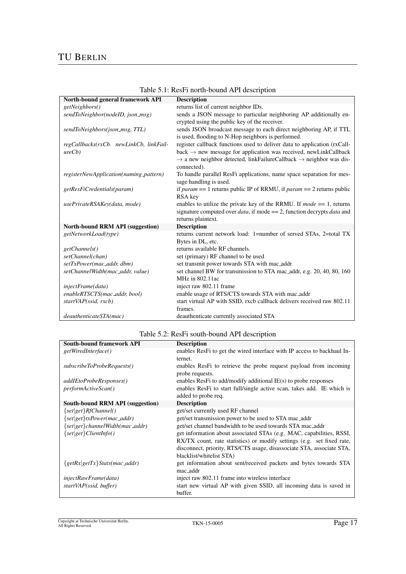### TU BERLIN

| North-bound general framework API       | <b>Description</b>                                                                         |
|-----------------------------------------|--------------------------------------------------------------------------------------------|
| getNeighbors()                          | returns list of current neighbor IDs.                                                      |
| sendToNeighbor(nodeID, json_msg)        | sends a JSON message to particular neighboring AP additionally en-                         |
|                                         | crypted using the public key of the receiver.                                              |
| sendToNeighbors(json_msg, TTL)          | sends JSON broadcast message to each direct neighboring AP, if TTL                         |
|                                         | is used, flooding to N-Hop neighbors is performed.                                         |
| regCallbacks(rxCb. newLinkCb, linkFail- | register callback functions used to deliver data to application (rxCall-                   |
| ureCb)                                  | $back \rightarrow new message$ for application was received, newLinkCallback               |
|                                         | $\rightarrow$ a new neighbor detected, linkFailureCallback $\rightarrow$ neighbor was dis- |
|                                         | connected).                                                                                |
| registerNewApplication(naming_pattern)  | To handle parallel ResFi applications, name space separation for mes-                      |
|                                         | sage handling is used.                                                                     |
| getResFiCredentials(param)              | if <i>param</i> == 1 returns public IP of RRMU, if <i>param</i> == 2 returns public        |
|                                         | RSA key                                                                                    |
| usePrivateRSAKey(data, mode)            | enables to utilize the private key of the RRMU. If $mode == 1$ , returns                   |
|                                         | signature computed over <i>data</i> , if mode $== 2$ , function decrypts <i>data</i> and   |
|                                         | returns plaintext.                                                                         |
| <b>North-bound RRM API (suggestion)</b> | <b>Description</b>                                                                         |
| getNetworkLoad(type)                    | returns current network load: 1=number of served STAs, 2=total TX                          |
|                                         | Bytes in DL, etc.                                                                          |
| getChannels()                           | returns available RF channels.                                                             |
| setChannel(chan)                        | set (primary) RF channel to be used                                                        |
| setTxPower(mac_addr, dbm)               | set transmit power towards STA with mac_addr                                               |
| setChannelWidth(mac_addr, value)        | set channel BW for transmission to STA mac_addr, e.g. 20, 40, 80, 160                      |
|                                         | MHz in 802.11ac                                                                            |
| injectFrame(data)                       | inject raw 802.11 frame                                                                    |
| enableRTSCTS(mac_addr, bool)            | enable usage of RTS/CTS towards STA with mac_addr                                          |
| startVAP(ssid, rxcb)                    | start virtual AP with SSID, rxcb callback delivers received raw 802.11                     |
|                                         | frames.                                                                                    |
| deauthenticateSTA(mac)                  | deauthenticate currently associated STA                                                    |

|  |  | Table 5.1: ResFi north-bound API description |  |  |
|--|--|----------------------------------------------|--|--|
|--|--|----------------------------------------------|--|--|

### Table 5.2: ResFi south-bound API description

| <b>South-bound framework API</b>       | <b>Description</b>                                                                            |
|----------------------------------------|-----------------------------------------------------------------------------------------------|
| getWiredInterface()                    | enables ResFi to get the wired interface with IP access to backhaul In-<br>ternet.            |
| subscribeToProbeRequests()             | enables ResFi to retrieve the probe request payload from incoming<br>probe requests.          |
| addIEtoProbeResponses()                | enables ResFi to add/modify additional $IE(s)$ to probe responses                             |
| <i>performActiveScan()</i>             | enables ResFi to start full/single active scan, takes add. IE which is<br>added to probe req. |
| South-bound RRM API (suggestion)       | <b>Description</b>                                                                            |
| $\{set get\}$ <i>RfChannel()</i>       | get/set currently used RF channel                                                             |
| $\{set get\}$ txPower(mac_addr)        | get/set transmission power to be used to STA mac_addr                                         |
| $\{set get\} channel Width(mac\_addr)$ | get/set channel bandwidth to be used towards STA mac_addr                                     |
| $\{set get\} ClientInfo()$             | get information about associated STAs (e.g. MAC, capabilities, RSSI,                          |
|                                        | RX/TX count, rate statistics) or modify settings (e.g. set fixed rate,                        |
|                                        | disconnect, priority, RTS/CTS usage, disassociate STA, associate STA,                         |
|                                        | blacklist/whitelist STA)                                                                      |
| $\{getRx getTx\}Stats(mac\_addr)$      | get information about sent/received packets and bytes towards STA                             |
|                                        | mac addr                                                                                      |
| injectRawFrame(data)                   | inject raw 802.11 frame into wireless interface                                               |
| startVAP(ssid, buffer)                 | start new virtual AP with given SSID, all incoming data is saved in                           |
|                                        | buffer.                                                                                       |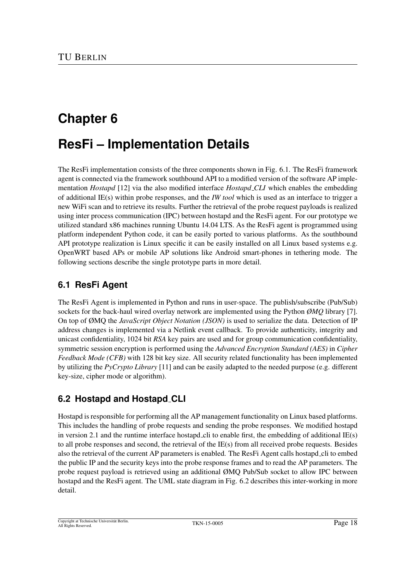# **ResFi – Implementation Details**

The ResFi implementation consists of the three components shown in Fig. 6.1. The ResFi framework agent is connected via the framework southbound API to a modified version of the software AP implementation *Hostapd* [12] via the also modified interface *Hostapd CLI* which enables the embedding of additional IE(s) within probe responses, and the *IW tool* which is used as an interface to trigger a new WiFi scan and to retrieve its results. Further the retrieval of the probe request payloads is realized using inter process communication (IPC) between hostapd and the ResFi agent. For our prototype we utilized standard x86 machines running Ubuntu 14.04 LTS. As the ResFi agent is programmed using platform independent Python code, it can be easily ported to various platforms. As the southbound API prototype realization is Linux specific it can be easily installed on all Linux based systems e.g. OpenWRT based APs or mobile AP solutions like Android smart-phones in tethering mode. The following sections describe the single prototype parts in more detail.

### **6.1 ResFi Agent**

The ResFi Agent is implemented in Python and runs in user-space. The publish/subscribe (Pub/Sub) sockets for the back-haul wired overlay network are implemented using the Python *ØMQ* library [7]. On top of ØMQ the *JavaScript Object Notation (JSON)* is used to serialize the data. Detection of IP address changes is implemented via a Netlink event callback. To provide authenticity, integrity and unicast confidentiality, 1024 bit *RSA* key pairs are used and for group communication confidentiality, symmetric session encryption is performed using the *Advanced Encryption Standard (AES)* in *Cipher Feedback Mode (CFB)* with 128 bit key size. All security related functionality has been implemented by utilizing the *PyCrypto Library* [11] and can be easily adapted to the needed purpose (e.g. different key-size, cipher mode or algorithm).

### **6.2 Hostapd and Hostapd CLI**

Hostapd is responsible for performing all the AP management functionality on Linux based platforms. This includes the handling of probe requests and sending the probe responses. We modified hostapd in version 2.1 and the runtime interface hostapd cli to enable first, the embedding of additional  $IE(s)$ to all probe responses and second, the retrieval of the IE(s) from all received probe requests. Besides also the retrieval of the current AP parameters is enabled. The ResFi Agent calls hostapd cli to embed the public IP and the security keys into the probe response frames and to read the AP parameters. The probe request payload is retrieved using an additional ØMQ Pub/Sub socket to allow IPC between hostapd and the ResFi agent. The UML state diagram in Fig. 6.2 describes this inter-working in more detail.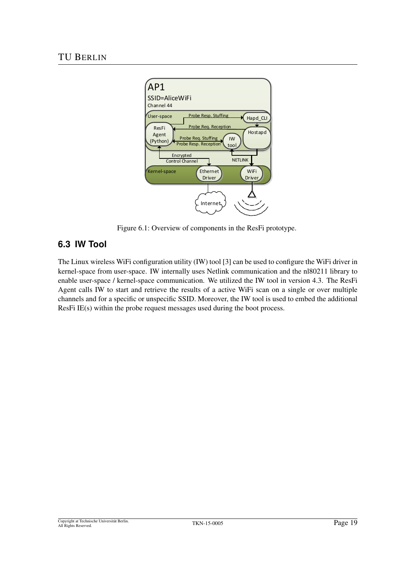

Figure 6.1: Overview of components in the ResFi prototype.

### **6.3 IW Tool**

The Linux wireless WiFi configuration utility (IW) tool [3] can be used to configure the WiFi driver in kernel-space from user-space. IW internally uses Netlink communication and the nl80211 library to enable user-space / kernel-space communication. We utilized the IW tool in version 4.3. The ResFi Agent calls IW to start and retrieve the results of a active WiFi scan on a single or over multiple channels and for a specific or unspecific SSID. Moreover, the IW tool is used to embed the additional ResFi IE(s) within the probe request messages used during the boot process.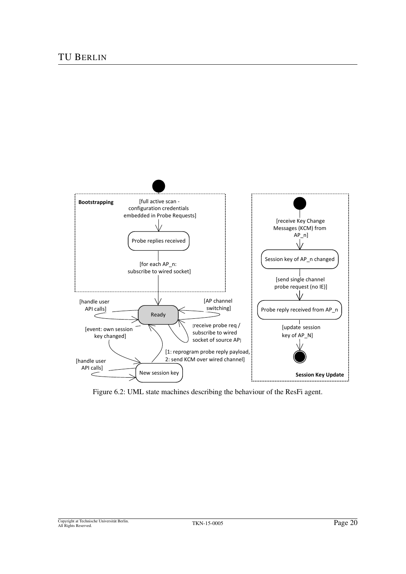

Figure 6.2: UML state machines describing the behaviour of the ResFi agent.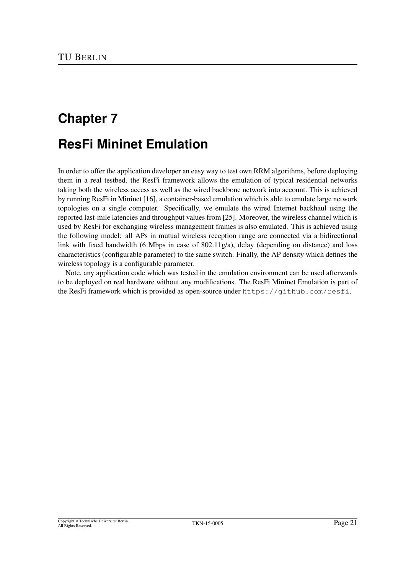# **Chapter 7 ResFi Mininet Emulation**

In order to offer the application developer an easy way to test own RRM algorithms, before deploying them in a real testbed, the ResFi framework allows the emulation of typical residential networks taking both the wireless access as well as the wired backbone network into account. This is achieved by running ResFi in Mininet [16], a container-based emulation which is able to emulate large network topologies on a single computer. Specifically, we emulate the wired Internet backhaul using the reported last-mile latencies and throughput values from [25]. Moreover, the wireless channel which is used by ResFi for exchanging wireless management frames is also emulated. This is achieved using the following model: all APs in mutual wireless reception range are connected via a bidirectional link with fixed bandwidth (6 Mbps in case of 802.11g/a), delay (depending on distance) and loss characteristics (configurable parameter) to the same switch. Finally, the AP density which defines the wireless topology is a configurable parameter.

Note, any application code which was tested in the emulation environment can be used afterwards to be deployed on real hardware without any modifications. The ResFi Mininet Emulation is part of the ResFi framework which is provided as open-source under https://github.com/resfi.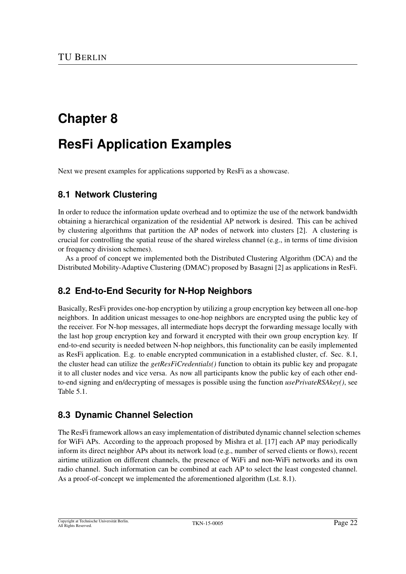# **ResFi Application Examples**

Next we present examples for applications supported by ResFi as a showcase.

### **8.1 Network Clustering**

In order to reduce the information update overhead and to optimize the use of the network bandwidth obtaining a hierarchical organization of the residential AP network is desired. This can be achived by clustering algorithms that partition the AP nodes of network into clusters [2]. A clustering is crucial for controlling the spatial reuse of the shared wireless channel (e.g., in terms of time division or frequency division schemes).

As a proof of concept we implemented both the Distributed Clustering Algorithm (DCA) and the Distributed Mobility-Adaptive Clustering (DMAC) proposed by Basagni [2] as applications in ResFi.

### **8.2 End-to-End Security for N-Hop Neighbors**

Basically, ResFi provides one-hop encryption by utilizing a group encryption key between all one-hop neighbors. In addition unicast messages to one-hop neighbors are encrypted using the public key of the receiver. For N-hop messages, all intermediate hops decrypt the forwarding message locally with the last hop group encryption key and forward it encrypted with their own group encryption key. If end-to-end security is needed between N-hop neighbors, this functionality can be easily implemented as ResFi application. E.g. to enable encrypted communication in a established cluster, cf. Sec. 8.1, the cluster head can utilize the *getResFiCredentials()* function to obtain its public key and propagate it to all cluster nodes and vice versa. As now all participants know the public key of each other endto-end signing and en/decrypting of messages is possible using the function *usePrivateRSAkey()*, see Table 5.1.

### **8.3 Dynamic Channel Selection**

The ResFi framework allows an easy implementation of distributed dynamic channel selection schemes for WiFi APs. According to the approach proposed by Mishra et al. [17] each AP may periodically inform its direct neighbor APs about its network load (e.g., number of served clients or flows), recent airtime utilization on different channels, the presence of WiFi and non-WiFi networks and its own radio channel. Such information can be combined at each AP to select the least congested channel. As a proof-of-concept we implemented the aforementioned algorithm (Lst. 8.1).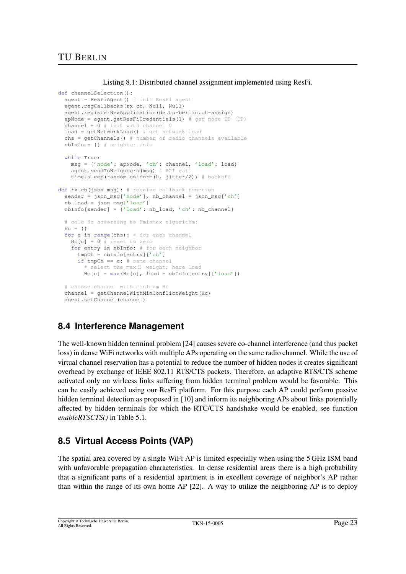### TU BERLIN

Listing 8.1: Distributed channel assignment implemented using ResFi.

```
def channelSelection():
 agent = ResFiAgent() # init ResFi agent
 agent.regCallbacks(rx_cb, Null, Null)
  agent.registerNewApplication(de.tu-berlin.ch-assign)
 apNode = aqent.getResFicredentials(1) # qet node ID (IP)channel = 0 # init with channel 0load = getNetworkLoad() # get network load
  chs = getChannels() # number of radio channels available
 nbInfo = {} # neighbor info
 while True:
   msg = {'node': apNode, 'ch': channel, 'load': load}
   agent.sendToNeighbors(msg) # API call
   time.sleep(random.uniform(0, jitter/2)) # backoff
def rx cb(ison msg): # receive callback function
  sender = json_msg['node'], nb_channel = json_msg['ch']
  nb_load = json_msg['load']
 nbInfo[sender] = {'load': nb_load, 'ch': nb_channel}
  # calc Hc according to Hminmax algorithm:
 Hc = { }for c in range(chs): # for each channel
   Hc[c] = 0 # reset to zero
   for entry in nbInfo: # for each neighbor
      tmpCh = nbInfo[entry]['ch']
      if tmpCh == c: # same channel
        # select the max () weight; here load
       Hc[c] = max(Hc[c], load + nbInfo[entry]['load'])# choose channel with minimum Hc
 channel = qetChannelWithMinConflictWeight(Hc)
 agent.setChannel(channel)
```
### **8.4 Interference Management**

The well-known hidden terminal problem [24] causes severe co-channel interference (and thus packet loss) in dense WiFi networks with multiple APs operating on the same radio channel. While the use of virtual channel reservation has a potential to reduce the number of hidden nodes it creates significant overhead by exchange of IEEE 802.11 RTS/CTS packets. Therefore, an adaptive RTS/CTS scheme activated only on wirleess links suffering from hidden terminal problem would be favorable. This can be easily achieved using our ResFi platform. For this purpose each AP could perform passive hidden terminal detection as proposed in [10] and inform its neighboring APs about links potentially affected by hidden terminals for which the RTC/CTS handshake would be enabled, see function *enableRTSCTS()* in Table 5.1.

## **8.5 Virtual Access Points (VAP)**

The spatial area covered by a single WiFi AP is limited especially when using the 5 GHz ISM band with unfavorable propagation characteristics. In dense residential areas there is a high probability that a significant parts of a residential apartment is in excellent coverage of neighbor's AP rather than within the range of its own home AP [22]. A way to utilize the neighboring AP is to deploy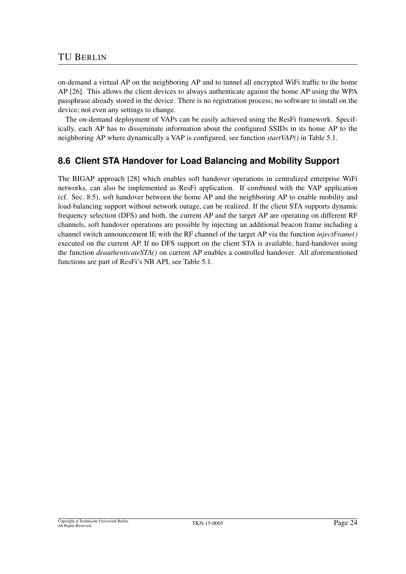on-demand a virtual AP on the neighboring AP and to tunnel all encrypted WiFi traffic to the home AP [26]. This allows the client devices to always authenticate against the home AP using the WPA passphrase already stored in the device. There is no registration process; no software to install on the device; not even any settings to change.

The on-demand deployment of VAPs can be easily achieved using the ResFi framework. Specifically, each AP has to disseminate information about the configured SSIDs in its home AP to the neighboring AP where dynamically a VAP is configured, see function *startVAP()* in Table 5.1.

### **8.6 Client STA Handover for Load Balancing and Mobility Support**

The BIGAP approach [28] which enables soft handover operations in centralized enterprise WiFi networks, can also be implemented as ResFi application. If combined with the VAP application (cf. Sec. 8.5), soft handover between the home AP and the neighboring AP to enable mobility and load-balancing support without network outage, can be realized. If the client STA supports dynamic frequency selection (DFS) and both, the current AP and the target AP are operating on different RF channels, soft handover operations are possible by injecting an additional beacon frame including a channel switch announcement IE with the RF channel of the target AP via the function *injectFrame()* executed on the current AP. If no DFS support on the client STA is available, hard-handover using the function *deauthenticateSTA()* on current AP enables a controlled handover. All aforementioned functions are part of ResFi's NB API, see Table 5.1.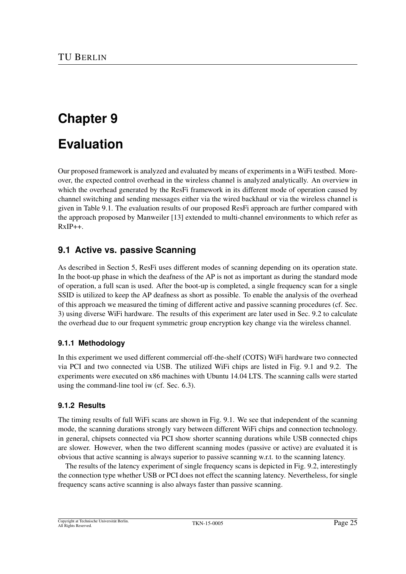# **Evaluation**

Our proposed framework is analyzed and evaluated by means of experiments in a WiFi testbed. Moreover, the expected control overhead in the wireless channel is analyzed analytically. An overview in which the overhead generated by the ResFi framework in its different mode of operation caused by channel switching and sending messages either via the wired backhaul or via the wireless channel is given in Table 9.1. The evaluation results of our proposed ResFi approach are further compared with the approach proposed by Manweiler [13] extended to multi-channel environments to which refer as  $RxIP_{++}$ .

### **9.1 Active vs. passive Scanning**

As described in Section 5, ResFi uses different modes of scanning depending on its operation state. In the boot-up phase in which the deafness of the AP is not as important as during the standard mode of operation, a full scan is used. After the boot-up is completed, a single frequency scan for a single SSID is utilized to keep the AP deafness as short as possible. To enable the analysis of the overhead of this approach we measured the timing of different active and passive scanning procedures (cf. Sec. 3) using diverse WiFi hardware. The results of this experiment are later used in Sec. 9.2 to calculate the overhead due to our frequent symmetric group encryption key change via the wireless channel.

#### **9.1.1 Methodology**

In this experiment we used different commercial off-the-shelf (COTS) WiFi hardware two connected via PCI and two connected via USB. The utilized WiFi chips are listed in Fig. 9.1 and 9.2. The experiments were executed on x86 machines with Ubuntu 14.04 LTS. The scanning calls were started using the command-line tool iw (cf. Sec. 6.3).

#### **9.1.2 Results**

The timing results of full WiFi scans are shown in Fig. 9.1. We see that independent of the scanning mode, the scanning durations strongly vary between different WiFi chips and connection technology. in general, chipsets connected via PCI show shorter scanning durations while USB connected chips are slower. However, when the two different scanning modes (passive or active) are evaluated it is obvious that active scanning is always superior to passive scanning w.r.t. to the scanning latency.

The results of the latency experiment of single frequency scans is depicted in Fig. 9.2, interestingly the connection type whether USB or PCI does not effect the scanning latency. Nevertheless, for single frequency scans active scanning is also always faster than passive scanning.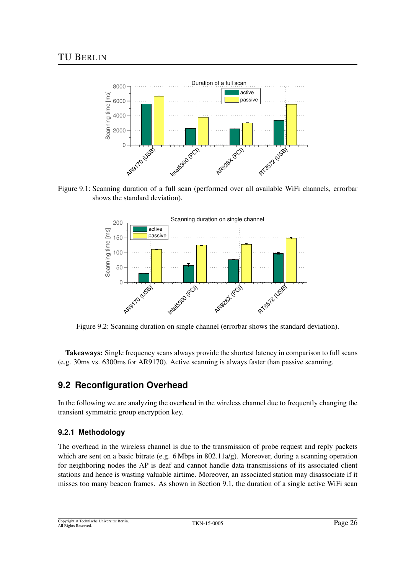

Figure 9.1: Scanning duration of a full scan (performed over all available WiFi channels, errorbar shows the standard deviation).



Figure 9.2: Scanning duration on single channel (errorbar shows the standard deviation).

Takeaways: Single frequency scans always provide the shortest latency in comparison to full scans (e.g. 30ms vs. 6300ms for AR9170). Active scanning is always faster than passive scanning.

### **9.2 Reconfiguration Overhead**

In the following we are analyzing the overhead in the wireless channel due to frequently changing the transient symmetric group encryption key.

#### **9.2.1 Methodology**

The overhead in the wireless channel is due to the transmission of probe request and reply packets which are sent on a basic bitrate (e.g. 6 Mbps in 802.11 $a/g$ ). Moreover, during a scanning operation for neighboring nodes the AP is deaf and cannot handle data transmissions of its associated client stations and hence is wasting valuable airtime. Moreover, an associated station may disassociate if it misses too many beacon frames. As shown in Section 9.1, the duration of a single active WiFi scan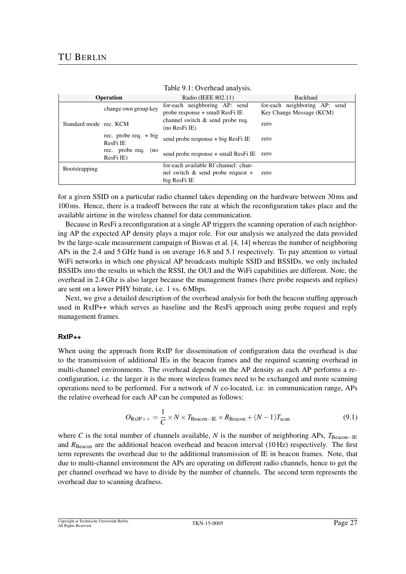| Tuble 9.1. O verneau and volu. |                                     |                                                                                              |                                                           |  |
|--------------------------------|-------------------------------------|----------------------------------------------------------------------------------------------|-----------------------------------------------------------|--|
|                                | <b>Operation</b>                    | Radio (IEEE 802.11)                                                                          | Backhaul                                                  |  |
|                                | change own group key                | for-each neighboring AP: send<br>probe response + small ResFi IE                             | for-each neighboring AP: send<br>Key Change Message (KCM) |  |
| Standard mode rec. KCM         |                                     | channel switch $\&$ send probe req.<br>(no ResFi IE)                                         | zero                                                      |  |
|                                | rec. probe req. $+$ big<br>ResFi IE | send probe response + big ResFi IE                                                           | zero                                                      |  |
|                                | rec. probe req.<br>(no<br>ResFi IE) | send probe response + small ResFi IE zero                                                    |                                                           |  |
| <b>Bootstrapping</b>           |                                     | for-each available Rf channel: chan-<br>nel switch $\&$ send probe request +<br>big ResFi IE | zero                                                      |  |

for a given SSID on a particular radio channel takes depending on the hardware between 30ms and 100ms. Hence, there is a tradeoff between the rate at which the reconfiguration takes place and the available airtime in the wireless channel for data communication.

Because in ResFi a reconfiguration at a single AP triggers the scanning operation of each neighboring AP the expected AP density plays a major role. For our analysis we analyzed the data provided bv the large-scale measurement campaign of Biswas et al. [4, 14] whereas the number of neighboring APs in the 2.4 and 5 GHz band is on average 16.8 and 5.1 respectively. To pay attention to virtual WiFi networks in which one physical AP broadcasts multiple SSID and BSSIDs, we only included BSSIDs into the results in which the RSSI, the OUI and the WiFi capabilities are different. Note, the overhead in 2.4 Ghz is also larger because the management frames (here probe requests and replies) are sent on a lower PHY bitrate, i.e. 1 vs. 6 Mbps.

Next, we give a detailed description of the overhead analysis for both the beacon stuffing approach used in RxIP++ which serves as baseline and the ResFi approach using probe request and reply management frames.

#### **RxIP++**

When using the approach from RxIP for dissemination of configuration data the overhead is due to the transmission of additional IEs in the beacon frames and the required scanning overhead in multi-channel environments. The overhead depends on the AP density as each AP performs a reconfiguration, i.e. the larger it is the more wireless frames need to be exchanged and more scanning operations need to be performed. For a network of *N* co-located, i.e. in communication range, APs the relative overhead for each AP can be computed as follows:

$$
O_{\text{RxIP++}} = \frac{1}{C} \times N \times T_{\text{Beacon-IE}} \times R_{\text{Beacon}} + (N-1)T_{\text{scan}} \tag{9.1}
$$

where *C* is the total number of channels available, *N* is the number of neighboring APs,  $T_{\text{Beacon–IE}}$ and  $R_{\text{Beacon}}$  are the additional beacon overhead and beacon interval (10 Hz) respectively. The first term represents the overhead due to the additional transmission of IE in beacon frames. Note, that due to multi-channel environment the APs are operating on different radio channels, hence to get the per channel overhead we have to divide by the number of channels. The second term represents the overhead due to scanning deafness.

Copyright at Technische Universität Berlin<br>All Rights Reserved. All Rights Reserved. TKN-15-0005 Page 27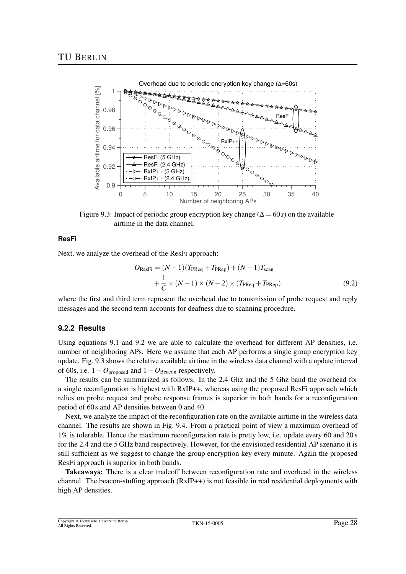

Figure 9.3: Impact of periodic group encryption key change ( $\Delta = 60s$ ) on the available airtime in the data channel.

#### **ResFi**

Next, we analyze the overhead of the ResFi approach:

$$
O_{\text{ResFi}} = (N-1)(T_{\text{PReq}} + T_{\text{PRep}}) + (N-1)T_{\text{scan}}
$$
  
+ 
$$
\frac{1}{C} \times (N-1) \times (N-2) \times (T_{\text{PReq}} + T_{\text{PRep}})
$$
(9.2)

where the first and third term represent the overhead due to transmission of probe request and reply messages and the second term accounts for deafness due to scanning procedure.

#### **9.2.2 Results**

Using equations 9.1 and 9.2 we are able to calculate the overhead for different AP densities, i.e. number of neighboring APs. Here we assume that each AP performs a single group encryption key update. Fig. 9.3 shows the relative available airtime in the wireless data channel with a update interval of 60s, i.e.  $1 - O_{\text{proposed}}$  and  $1 - O_{\text{Beacon}}$  respectively.

The results can be summarized as follows. In the 2.4 Ghz and the 5 Ghz band the overhead for a single reconfiguration is highest with RxIP++, whereas using the proposed ResFi approach which relies on probe request and probe response frames is superior in both bands for a reconfiguration period of 60 s and AP densities between 0 and 40.

Next, we analyze the impact of the reconfiguration rate on the available airtime in the wireless data channel. The results are shown in Fig. 9.4. From a practical point of view a maximum overhead of 1% is tolerable. Hence the maximum reconfiguration rate is pretty low, i.e. update every 60 and 20 s for the 2.4 and the 5 GHz band respectively. However, for the envisioned residential AP szenario it is still sufficient as we suggest to change the group encryption key every minute. Again the proposed ResFi approach is superior in both bands.

Takeaways: There is a clear tradeoff between reconfiguration rate and overhead in the wireless channel. The beacon-stuffing approach (RxIP++) is not feasible in real residential deployments with high AP densities.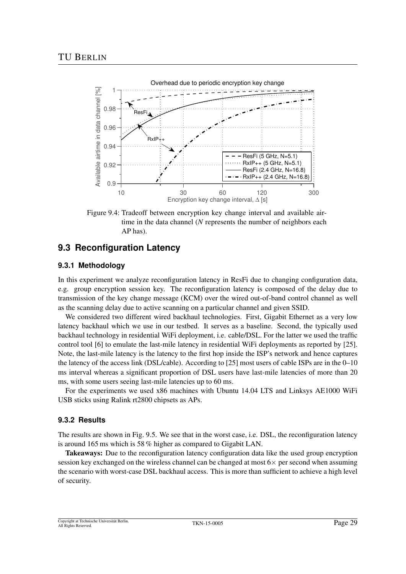

Figure 9.4: Tradeoff between encryption key change interval and available airtime in the data channel (*N* represents the number of neighbors each AP has).

### **9.3 Reconfiguration Latency**

#### **9.3.1 Methodology**

In this experiment we analyze reconfiguration latency in ResFi due to changing configuration data, e.g. group encryption session key. The reconfiguration latency is composed of the delay due to transmission of the key change message (KCM) over the wired out-of-band control channel as well as the scanning delay due to active scanning on a particular channel and given SSID.

We considered two different wired backhaul technologies. First, Gigabit Ethernet as a very low latency backhaul which we use in our testbed. It serves as a baseline. Second, the typically used backhaul technology in residential WiFi deployment, i.e. cable/DSL. For the latter we used the traffic control tool [6] to emulate the last-mile latency in residential WiFi deployments as reported by [25]. Note, the last-mile latency is the latency to the first hop inside the ISP's network and hence captures the latency of the access link (DSL/cable). According to [25] most users of cable ISPs are in the 0–10 ms interval whereas a significant proportion of DSL users have last-mile latencies of more than 20 ms, with some users seeing last-mile latencies up to 60 ms.

For the experiments we used x86 machines with Ubuntu 14.04 LTS and Linksys AE1000 WiFi USB sticks using Ralink rt2800 chipsets as APs.

#### **9.3.2 Results**

The results are shown in Fig. 9.5. We see that in the worst case, i.e. DSL, the reconfiguration latency is around 165 ms which is 58 % higher as compared to Gigabit LAN.

Takeaways: Due to the reconfiguration latency configuration data like the used group encryption session key exchanged on the wireless channel can be changed at most  $6\times$  per second when assuming the scenario with worst-case DSL backhaul access. This is more than sufficient to achieve a high level of security.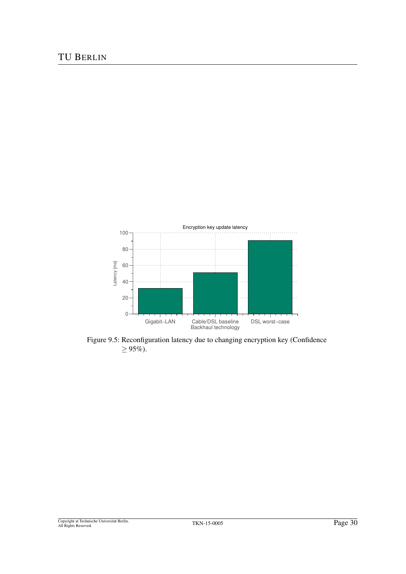

Figure 9.5: Reconfiguration latency due to changing encryption key (Confidence  $≥ 95%$ ).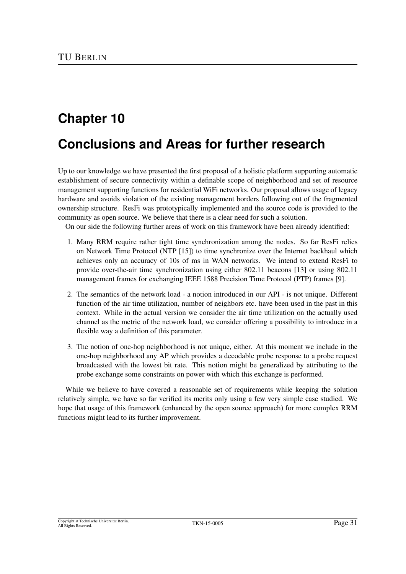# **Conclusions and Areas for further research**

Up to our knowledge we have presented the first proposal of a holistic platform supporting automatic establishment of secure connectivity within a definable scope of neighborhood and set of resource management supporting functions for residential WiFi networks. Our proposal allows usage of legacy hardware and avoids violation of the existing management borders following out of the fragmented ownership structure. ResFi was prototypically implemented and the source code is provided to the community as open source. We believe that there is a clear need for such a solution.

On our side the following further areas of work on this framework have been already identified:

- 1. Many RRM require rather tight time synchronization among the nodes. So far ResFi relies on Network Time Protocol (NTP [15]) to time synchronize over the Internet backhaul which achieves only an accuracy of 10s of ms in WAN networks. We intend to extend ResFi to provide over-the-air time synchronization using either 802.11 beacons [13] or using 802.11 management frames for exchanging IEEE 1588 Precision Time Protocol (PTP) frames [9].
- 2. The semantics of the network load a notion introduced in our API is not unique. Different function of the air time utilization, number of neighbors etc. have been used in the past in this context. While in the actual version we consider the air time utilization on the actually used channel as the metric of the network load, we consider offering a possibility to introduce in a flexible way a definition of this parameter.
- 3. The notion of one-hop neighborhood is not unique, either. At this moment we include in the one-hop neighborhood any AP which provides a decodable probe response to a probe request broadcasted with the lowest bit rate. This notion might be generalized by attributing to the probe exchange some constraints on power with which this exchange is performed.

While we believe to have covered a reasonable set of requirements while keeping the solution relatively simple, we have so far verified its merits only using a few very simple case studied. We hope that usage of this framework (enhanced by the open source approach) for more complex RRM functions might lead to its further improvement.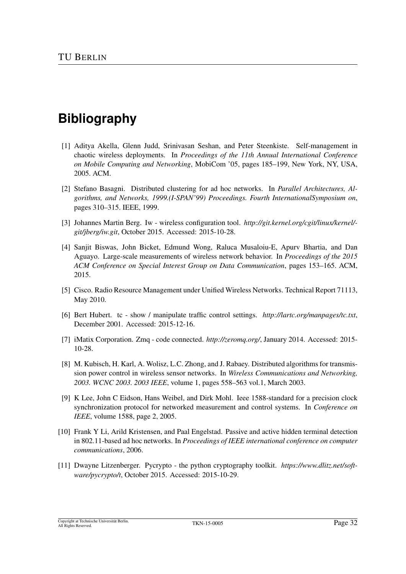# **Bibliography**

- [1] Aditya Akella, Glenn Judd, Srinivasan Seshan, and Peter Steenkiste. Self-management in chaotic wireless deployments. In *Proceedings of the 11th Annual International Conference on Mobile Computing and Networking*, MobiCom '05, pages 185–199, New York, NY, USA, 2005. ACM.
- [2] Stefano Basagni. Distributed clustering for ad hoc networks. In *Parallel Architectures, Algorithms, and Networks, 1999.(I-SPAN'99) Proceedings. Fourth InternationalSymposium on*, pages 310–315. IEEE, 1999.
- [3] Johannes Martin Berg. Iw wireless configuration tool. *http://git.kernel.org/cgit/linux/kernel/ git/jberg/iw.git*, October 2015. Accessed: 2015-10-28.
- [4] Sanjit Biswas, John Bicket, Edmund Wong, Raluca Musaloiu-E, Apurv Bhartia, and Dan Aguayo. Large-scale measurements of wireless network behavior. In *Proceedings of the 2015 ACM Conference on Special Interest Group on Data Communication*, pages 153–165. ACM, 2015.
- [5] Cisco. Radio Resource Management under Unified Wireless Networks. Technical Report 71113, May 2010.
- [6] Bert Hubert. tc show / manipulate traffic control settings. *http://lartc.org/manpages/tc.txt*, December 2001. Accessed: 2015-12-16.
- [7] iMatix Corporation. Zmq code connected. *http://zeromq.org/*, January 2014. Accessed: 2015- 10-28.
- [8] M. Kubisch, H. Karl, A. Wolisz, L.C. Zhong, and J. Rabaey. Distributed algorithms for transmission power control in wireless sensor networks. In *Wireless Communications and Networking, 2003. WCNC 2003. 2003 IEEE*, volume 1, pages 558–563 vol.1, March 2003.
- [9] K Lee, John C Eidson, Hans Weibel, and Dirk Mohl. Ieee 1588-standard for a precision clock synchronization protocol for networked measurement and control systems. In *Conference on IEEE*, volume 1588, page 2, 2005.
- [10] Frank Y Li, Arild Kristensen, and Paal Engelstad. Passive and active hidden terminal detection in 802.11-based ad hoc networks. In *Proceedings of IEEE international conference on computer communications*, 2006.
- [11] Dwayne Litzenberger. Pycrypto the python cryptography toolkit. *https://www.dlitz.net/software/pycrypto/t*, October 2015. Accessed: 2015-10-29.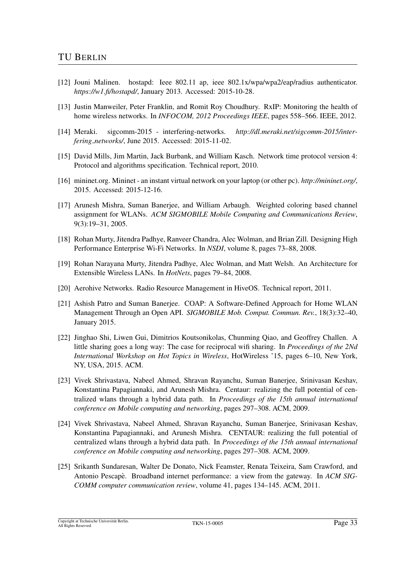- [12] Jouni Malinen. hostapd: Ieee 802.11 ap, ieee 802.1x/wpa/wpa2/eap/radius authenticator. *https://w1.fi/hostapd/*, January 2013. Accessed: 2015-10-28.
- [13] Justin Manweiler, Peter Franklin, and Romit Roy Choudhury. RxIP: Monitoring the health of home wireless networks. In *INFOCOM, 2012 Proceedings IEEE*, pages 558–566. IEEE, 2012.
- [14] Meraki. sigcomm-2015 interfering-networks. *http://dl.meraki.net/sigcomm-2015/interfering networks/*, June 2015. Accessed: 2015-11-02.
- [15] David Mills, Jim Martin, Jack Burbank, and William Kasch. Network time protocol version 4: Protocol and algorithms specification. Technical report, 2010.
- [16] mininet.org. Mininet an instant virtual network on your laptop (or other pc). *http://mininet.org/*, 2015. Accessed: 2015-12-16.
- [17] Arunesh Mishra, Suman Banerjee, and William Arbaugh. Weighted coloring based channel assignment for WLANs. *ACM SIGMOBILE Mobile Computing and Communications Review*, 9(3):19–31, 2005.
- [18] Rohan Murty, Jitendra Padhye, Ranveer Chandra, Alec Wolman, and Brian Zill. Designing High Performance Enterprise Wi-Fi Networks. In *NSDI*, volume 8, pages 73–88, 2008.
- [19] Rohan Narayana Murty, Jitendra Padhye, Alec Wolman, and Matt Welsh. An Architecture for Extensible Wireless LANs. In *HotNets*, pages 79–84, 2008.
- [20] Aerohive Networks. Radio Resource Management in HiveOS. Technical report, 2011.
- [21] Ashish Patro and Suman Banerjee. COAP: A Software-Defined Approach for Home WLAN Management Through an Open API. *SIGMOBILE Mob. Comput. Commun. Rev.*, 18(3):32–40, January 2015.
- [22] Jinghao Shi, Liwen Gui, Dimitrios Koutsonikolas, Chunming Qiao, and Geoffrey Challen. A little sharing goes a long way: The case for reciprocal wifi sharing. In *Proceedings of the 2Nd International Workshop on Hot Topics in Wireless*, HotWireless '15, pages 6–10, New York, NY, USA, 2015. ACM.
- [23] Vivek Shrivastava, Nabeel Ahmed, Shravan Rayanchu, Suman Banerjee, Srinivasan Keshav, Konstantina Papagiannaki, and Arunesh Mishra. Centaur: realizing the full potential of centralized wlans through a hybrid data path. In *Proceedings of the 15th annual international conference on Mobile computing and networking*, pages 297–308. ACM, 2009.
- [24] Vivek Shrivastava, Nabeel Ahmed, Shravan Rayanchu, Suman Banerjee, Srinivasan Keshav, Konstantina Papagiannaki, and Arunesh Mishra. CENTAUR: realizing the full potential of centralized wlans through a hybrid data path. In *Proceedings of the 15th annual international conference on Mobile computing and networking*, pages 297–308. ACM, 2009.
- [25] Srikanth Sundaresan, Walter De Donato, Nick Feamster, Renata Teixeira, Sam Crawford, and Antonio Pescape. Broadband internet performance: a view from the gateway. In ` *ACM SIG-COMM computer communication review*, volume 41, pages 134–145. ACM, 2011.